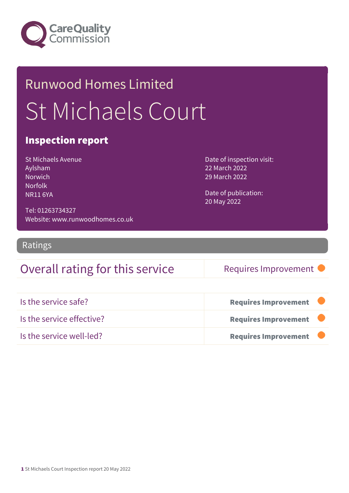

# Runwood Homes Limited St Michaels Court

### Inspection report

St Michaels Avenue Aylsham **Norwich** Norfolk NR11 6YA

Date of inspection visit: 22 March 2022 29 March 2022

Date of publication: 20 May 2022

Tel: 01263734327 Website: www.runwoodhomes.co.uk

Ratings

### Overall rating for this service Requires Improvement

| Is the service safe?      | <b>Requires Improvement</b> |  |
|---------------------------|-----------------------------|--|
| Is the service effective? | <b>Requires Improvement</b> |  |
| Is the service well-led?  | <b>Requires Improvement</b> |  |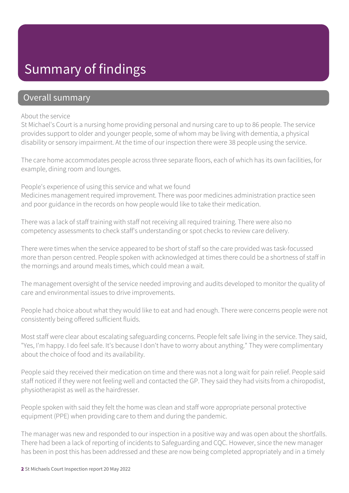### Summary of findings

### Overall summary

#### About the service

St Michael's Court is a nursing home providing personal and nursing care to up to 86 people. The service provides support to older and younger people, some of whom may be living with dementia, a physical disability or sensory impairment. At the time of our inspection there were 38 people using the service.

The care home accommodates people across three separate floors, each of which has its own facilities, for example, dining room and lounges.

People's experience of using this service and what we found Medicines management required improvement. There was poor medicines administration practice seen and poor guidance in the records on how people would like to take their medication.

There was a lack of staff training with staff not receiving all required training. There were also no competency assessments to check staff's understanding or spot checks to review care delivery.

There were times when the service appeared to be short of staff so the care provided was task-focussed more than person centred. People spoken with acknowledged at times there could be a shortness of staff in the mornings and around meals times, which could mean a wait.

The management oversight of the service needed improving and audits developed to monitor the quality of care and environmental issues to drive improvements.

People had choice about what they would like to eat and had enough. There were concerns people were not consistently being offered sufficient fluids.

Most staff were clear about escalating safeguarding concerns. People felt safe living in the service. They said, "Yes, I'm happy. I do feel safe. It's because I don't have to worry about anything." They were complimentary about the choice of food and its availability.

People said they received their medication on time and there was not a long wait for pain relief. People said staff noticed if they were not feeling well and contacted the GP. They said they had visits from a chiropodist, physiotherapist as well as the hairdresser.

People spoken with said they felt the home was clean and staff wore appropriate personal protective equipment (PPE) when providing care to them and during the pandemic.

The manager was new and responded to our inspection in a positive way and was open about the shortfalls. There had been a lack of reporting of incidents to Safeguarding and CQC. However, since the new manager has been in post this has been addressed and these are now being completed appropriately and in a timely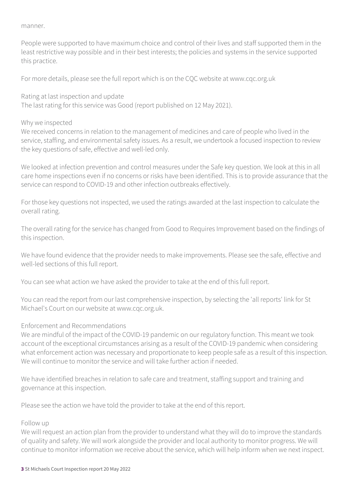manner.

People were supported to have maximum choice and control of their lives and staff supported them in the least restrictive way possible and in their best interests; the policies and systems in the service supported this practice.

For more details, please see the full report which is on the CQC website at www.cqc.org.uk

Rating at last inspection and update

The last rating for this service was Good (report published on 12 May 2021).

#### Why we inspected

We received concerns in relation to the management of medicines and care of people who lived in the service, staffing, and environmental safety issues. As a result, we undertook a focused inspection to review the key questions of safe, effective and well-led only.

We looked at infection prevention and control measures under the Safe key question. We look at this in all care home inspections even if no concerns or risks have been identified. This is to provide assurance that the service can respond to COVID-19 and other infection outbreaks effectively.

For those key questions not inspected, we used the ratings awarded at the last inspection to calculate the overall rating.

The overall rating for the service has changed from Good to Requires Improvement based on the findings of this inspection.

We have found evidence that the provider needs to make improvements. Please see the safe, effective and well-led sections of this full report.

You can see what action we have asked the provider to take at the end of this full report.

You can read the report from our last comprehensive inspection, by selecting the 'all reports' link for St Michael's Court on our website at www.cqc.org.uk.

#### Enforcement and Recommendations

We are mindful of the impact of the COVID-19 pandemic on our regulatory function. This meant we took account of the exceptional circumstances arising as a result of the COVID-19 pandemic when considering what enforcement action was necessary and proportionate to keep people safe as a result of this inspection. We will continue to monitor the service and will take further action if needed.

We have identified breaches in relation to safe care and treatment, staffing support and training and governance at this inspection.

Please see the action we have told the provider to take at the end of this report.

#### Follow up

We will request an action plan from the provider to understand what they will do to improve the standards of quality and safety. We will work alongside the provider and local authority to monitor progress. We will continue to monitor information we receive about the service, which will help inform when we next inspect.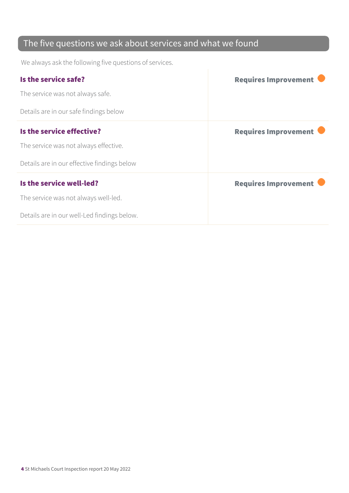### The five questions we ask about services and what we found

We always ask the following five questions of services.

| Is the service safe?                        | <b>Requires Improvement</b> |
|---------------------------------------------|-----------------------------|
| The service was not always safe.            |                             |
| Details are in our safe findings below      |                             |
| Is the service effective?                   | <b>Requires Improvement</b> |
| The service was not always effective.       |                             |
| Details are in our effective findings below |                             |
| Is the service well-led?                    | <b>Requires Improvement</b> |
| The service was not always well-led.        |                             |
| Details are in our well-Led findings below. |                             |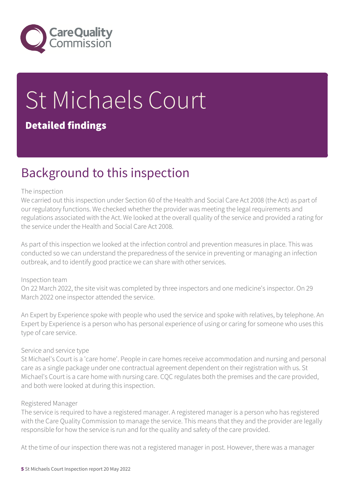

# St Michaels Court Detailed findings

### Background to this inspection

#### The inspection

We carried out this inspection under Section 60 of the Health and Social Care Act 2008 (the Act) as part of our regulatory functions. We checked whether the provider was meeting the legal requirements and regulations associated with the Act. We looked at the overall quality of the service and provided a rating for the service under the Health and Social Care Act 2008.

As part of this inspection we looked at the infection control and prevention measures in place. This was conducted so we can understand the preparedness of the service in preventing or managing an infection outbreak, and to identify good practice we can share with other services.

#### Inspection team

On 22 March 2022, the site visit was completed by three inspectors and one medicine's inspector. On 29 March 2022 one inspector attended the service.

An Expert by Experience spoke with people who used the service and spoke with relatives, by telephone. An Expert by Experience is a person who has personal experience of using or caring for someone who uses this type of care service.

#### Service and service type

St Michael's Court is a 'care home'. People in care homes receive accommodation and nursing and personal care as a single package under one contractual agreement dependent on their registration with us. St Michael's Court is a care home with nursing care. CQC regulates both the premises and the care provided, and both were looked at during this inspection.

#### Registered Manager

The service is required to have a registered manager. A registered manager is a person who has registered with the Care Quality Commission to manage the service. This means that they and the provider are legally responsible for how the service is run and for the quality and safety of the care provided.

At the time of our inspection there was not a registered manager in post. However, there was a manager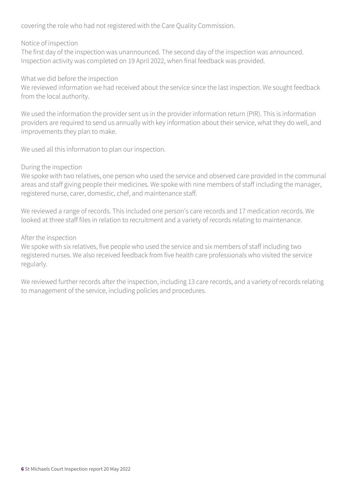covering the role who had not registered with the Care Quality Commission.

#### Notice of inspection

The first day of the inspection was unannounced. The second day of the inspection was announced. Inspection activity was completed on 19 April 2022, when final feedback was provided.

#### What we did before the inspection

We reviewed information we had received about the service since the last inspection. We sought feedback from the local authority.

We used the information the provider sent us in the provider information return (PIR). This is information providers are required to send us annually with key information about their service, what they do well, and improvements they plan to make.

We used all this information to plan our inspection.

#### During the inspection

We spoke with two relatives, one person who used the service and observed care provided in the communal areas and staff giving people their medicines. We spoke with nine members of staff including the manager, registered nurse, carer, domestic, chef, and maintenance staff.

We reviewed a range of records. This included one person's care records and 17 medication records. We looked at three staff files in relation to recruitment and a variety of records relating to maintenance.

#### After the inspection

We spoke with six relatives, five people who used the service and six members of staff including two registered nurses. We also received feedback from five health care professionals who visited the service regularly.

We reviewed further records after the inspection, including 13 care records, and a variety of records relating to management of the service, including policies and procedures.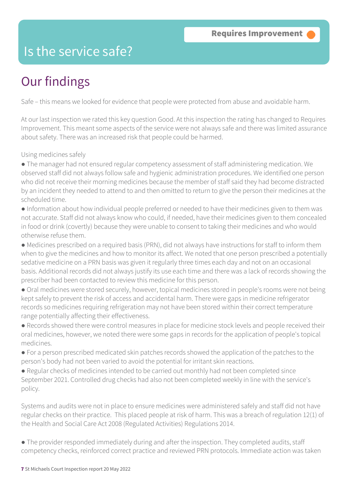### Is the service safe?

## Our findings

Safe – this means we looked for evidence that people were protected from abuse and avoidable harm.

At our last inspection we rated this key question Good. At this inspection the rating has changed to Requires Improvement. This meant some aspects of the service were not always safe and there was limited assurance about safety. There was an increased risk that people could be harmed.

Using medicines safely

- The manager had not ensured regular competency assessment of staff administering medication. We observed staff did not always follow safe and hygienic administration procedures. We identified one person who did not receive their morning medicines because the member of staff said they had become distracted by an incident they needed to attend to and then omitted to return to give the person their medicines at the scheduled time.
- Information about how individual people preferred or needed to have their medicines given to them was not accurate. Staff did not always know who could, if needed, have their medicines given to them concealed in food or drink (covertly) because they were unable to consent to taking their medicines and who would otherwise refuse them.
- Medicines prescribed on a required basis (PRN), did not always have instructions for staff to inform them when to give the medicines and how to monitor its affect. We noted that one person prescribed a potentially sedative medicine on a PRN basis was given it regularly three times each day and not on an occasional basis. Additional records did not always justify its use each time and there was a lack of records showing the prescriber had been contacted to review this medicine for this person.
- Oral medicines were stored securely, however, topical medicines stored in people's rooms were not being kept safely to prevent the risk of access and accidental harm. There were gaps in medicine refrigerator records so medicines requiring refrigeration may not have been stored within their correct temperature range potentially affecting their effectiveness.
- Records showed there were control measures in place for medicine stock levels and people received their oral medicines, however, we noted there were some gaps in records for the application of people's topical medicines.
- For a person prescribed medicated skin patches records showed the application of the patches to the person's body had not been varied to avoid the potential for irritant skin reactions.
- Regular checks of medicines intended to be carried out monthly had not been completed since September 2021. Controlled drug checks had also not been completed weekly in line with the service's policy.
- Systems and audits were not in place to ensure medicines were administered safely and staff did not have regular checks on their practice. This placed people at risk of harm. This was a breach of regulation 12(1) of the Health and Social Care Act 2008 (Regulated Activities) Regulations 2014.
- The provider responded immediately during and after the inspection. They completed audits, staff competency checks, reinforced correct practice and reviewed PRN protocols. Immediate action was taken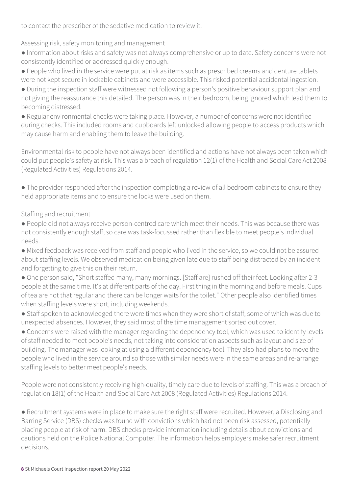to contact the prescriber of the sedative medication to review it.

Assessing risk, safety monitoring and management

- Information about risks and safety was not always comprehensive or up to date. Safety concerns were not consistently identified or addressed quickly enough.
- People who lived in the service were put at risk as items such as prescribed creams and denture tablets were not kept secure in lockable cabinets and were accessible. This risked potential accidental ingestion.
- During the inspection staff were witnessed not following a person's positive behaviour support plan and not giving the reassurance this detailed. The person was in their bedroom, being ignored which lead them to becoming distressed.
- Regular environmental checks were taking place. However, a number of concerns were not identified during checks. This included rooms and cupboards left unlocked allowing people to access products which may cause harm and enabling them to leave the building.

Environmental risk to people have not always been identified and actions have not always been taken which could put people's safety at risk. This was a breach of regulation 12(1) of the Health and Social Care Act 2008 (Regulated Activities) Regulations 2014.

● The provider responded after the inspection completing a review of all bedroom cabinets to ensure they held appropriate items and to ensure the locks were used on them.

Staffing and recruitment

- People did not always receive person-centred care which meet their needs. This was because there was not consistently enough staff, so care was task-focussed rather than flexible to meet people's individual needs.
- Mixed feedback was received from staff and people who lived in the service, so we could not be assured about staffing levels. We observed medication being given late due to staff being distracted by an incident and forgetting to give this on their return.
- One person said, "Short staffed many, many mornings. [Staff are] rushed off their feet. Looking after 2-3 people at the same time. It's at different parts of the day. First thing in the morning and before meals. Cups of tea are not that regular and there can be longer waits for the toilet." Other people also identified times when staffing levels were short, including weekends.
- Staff spoken to acknowledged there were times when they were short of staff, some of which was due to unexpected absences. However, they said most of the time management sorted out cover.
- Concerns were raised with the manager regarding the dependency tool, which was used to identify levels of staff needed to meet people's needs, not taking into consideration aspects such as layout and size of building. The manager was looking at using a different dependency tool. They also had plans to move the people who lived in the service around so those with similar needs were in the same areas and re-arrange staffing levels to better meet people's needs.

People were not consistently receiving high-quality, timely care due to levels of staffing. This was a breach of regulation 18(1) of the Health and Social Care Act 2008 (Regulated Activities) Regulations 2014.

● Recruitment systems were in place to make sure the right staff were recruited. However, a Disclosing and Barring Service (DBS) checks was found with convictions which had not been risk assessed, potentially placing people at risk of harm. DBS checks provide information including details about convictions and cautions held on the Police National Computer. The information helps employers make safer recruitment decisions.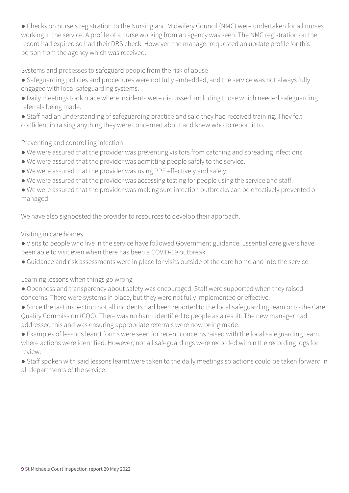• Checks on nurse's registration to the Nursing and Midwifery Council (NMC) were undertaken for all nurses working in the service. A profile of a nurse working from an agency was seen. The NMC registration on the record had expired so had their DBS check. However, the manager requested an update profile for this person from the agency which was received.

Systems and processes to safeguard people from the risk of abuse

- Safeguarding policies and procedures were not fully embedded, and the service was not always fully engaged with local safeguarding systems.
- Daily meetings took place where incidents were discussed, including those which needed safeguarding referrals being made.
- Staff had an understanding of safeguarding practice and said they had received training. They felt confident in raising anything they were concerned about and knew who to report it to.

#### Preventing and controlling infection

- We were assured that the provider was preventing visitors from catching and spreading infections.
- We were assured that the provider was admitting people safely to the service.
- We were assured that the provider was using PPE effectively and safely.
- We were assured that the provider was accessing testing for people using the service and staff.
- We were assured that the provider was making sure infection outbreaks can be effectively prevented or managed.

We have also signposted the provider to resources to develop their approach.

#### Visiting in care homes

- Visits to people who live in the service have followed Government guidance. Essential care givers have been able to visit even when there has been a COVID-19 outbreak.
- Guidance and risk assessments were in place for visits outside of the care home and into the service.

Learning lessons when things go wrong

- Openness and transparency about safety was encouraged. Staff were supported when they raised concerns. There were systems in place, but they were not fully implemented or effective.
- Since the last inspection not all incidents had been reported to the local safeguarding team or to the Care Quality Commission (CQC). There was no harm identified to people as a result. The new manager had addressed this and was ensuring appropriate referrals were now being made.
- Examples of lessons learnt forms were seen for recent concerns raised with the local safeguarding team, where actions were identified. However, not all safeguardings were recorded within the recording logs for review.
- Staff spoken with said lessons learnt were taken to the daily meetings so actions could be taken forward in all departments of the service.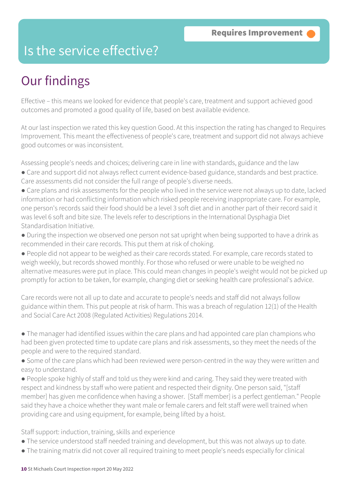### Is the service effective?

## Our findings

Effective – this means we looked for evidence that people's care, treatment and support achieved good outcomes and promoted a good quality of life, based on best available evidence.

At our last inspection we rated this key question Good. At this inspection the rating has changed to Requires Improvement. This meant the effectiveness of people's care, treatment and support did not always achieve good outcomes or was inconsistent.

Assessing people's needs and choices; delivering care in line with standards, guidance and the law

- Care and support did not always reflect current evidence-based guidance, standards and best practice. Care assessments did not consider the full range of people's diverse needs.
- Care plans and risk assessments for the people who lived in the service were not always up to date, lacked information or had conflicting information which risked people receiving inappropriate care. For example, one person's records said their food should be a level 3 soft diet and in another part of their record said it was level 6 soft and bite size. The levels refer to descriptions in the International Dysphagia Diet Standardisation Initiative.
- During the inspection we observed one person not sat upright when being supported to have a drink as recommended in their care records. This put them at risk of choking.

● People did not appear to be weighed as their care records stated. For example, care records stated to weigh weekly, but records showed monthly. For those who refused or were unable to be weighed no alternative measures were put in place. This could mean changes in people's weight would not be picked up promptly for action to be taken, for example, changing diet or seeking health care professional's advice.

Care records were not all up to date and accurate to people's needs and staff did not always follow guidance within them. This put people at risk of harm. This was a breach of regulation 12(1) of the Health and Social Care Act 2008 (Regulated Activities) Regulations 2014.

- The manager had identified issues within the care plans and had appointed care plan champions who had been given protected time to update care plans and risk assessments, so they meet the needs of the people and were to the required standard.
- Some of the care plans which had been reviewed were person-centred in the way they were written and easy to understand.
- People spoke highly of staff and told us they were kind and caring. They said they were treated with respect and kindness by staff who were patient and respected their dignity. One person said, "[staff member] has given me confidence when having a shower. [Staff member] is a perfect gentleman." People said they have a choice whether they want male or female carers and felt staff were well trained when providing care and using equipment, for example, being lifted by a hoist.

Staff support: induction, training, skills and experience

- The service understood staff needed training and development, but this was not always up to date.
- The training matrix did not cover all required training to meet people's needs especially for clinical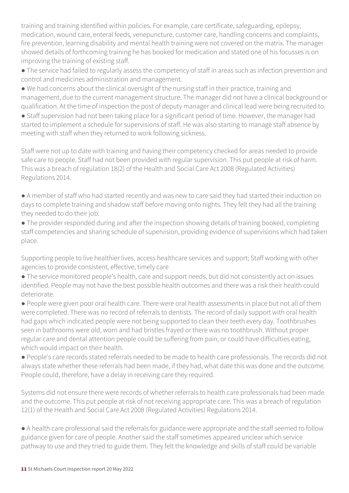training and training identified within policies. For example, care certificate, safeguarding, epilepsy, medication, wound care, enteral feeds, venepuncture, customer care, handling concerns and complaints, fire prevention, learning disability and mental health training were not covered on the matrix. The manager showed details of forthcoming training he has booked for medication and stated one of his focusses is on improving the training of existing staff.

● The service had failed to regularly assess the competency of staff in areas such as infection prevention and control and medicines administration and management.

● We had concerns about the clinical oversight of the nursing staff in their practice, training and management, due to the current management structure. The manager did not have a clinical background or qualification. At the time of inspection the post of deputy manager and clinical lead were being recruited to.

• Staff supervision had not been taking place for a significant period of time. However, the manager had started to implement a schedule for supervisions of staff. He was also starting to manage staff absence by meeting with staff when they returned to work following sickness.

Staff were not up to date with training and having their competency checked for areas needed to provide safe care to people. Staff had not been provided with regular supervision. This put people at risk of harm. This was a breach of regulation 18(2) of the Health and Social Care Act 2008 (Regulated Activities) Regulations 2014.

● A member of staff who had started recently and was new to care said they had started their induction on days to complete training and shadow staff before moving onto nights. They felt they had all the training they needed to do their job.

● The provider responded during and after the inspection showing details of training booked, completing staff competencies and sharing schedule of supervision, providing evidence of supervisions which had taken place.

Supporting people to live healthier lives, access healthcare services and support; Staff working with other agencies to provide consistent, effective, timely care

● The service monitored people's health, care and support needs, but did not consistently act on issues identified. People may not have the best possible health outcomes and there was a risk their health could deteriorate.

● People were given poor oral health care. There were oral health assessments in place but not all of them were completed. There was no record of referrals to dentists. The record of daily support with oral health had gaps which indicated people were not being supported to clean their teeth every day. Toothbrushes seen in bathrooms were old, worn and had bristles frayed or there was no toothbrush. Without proper regular care and dental attention people could be suffering from pain, or could have difficulties eating, which would impact on their health.

● People's care records stated referrals needed to be made to health care professionals. The records did not always state whether these referrals had been made, if they had, what date this was done and the outcome. People could, therefore, have a delay in receiving care they required.

Systems did not ensure there were records of whether referrals to health care professionals had been made and the outcome. This put people at risk of not receiving appropriate care. This was a breach of regulation 12(1) of the Health and Social Care Act 2008 (Regulated Activities) Regulations 2014.

● A health care professional said the referrals for guidance were appropriate and the staff seemed to follow guidance given for care of people. Another said the staff sometimes appeared unclear which service pathway to use and they tried to guide them. They felt the knowledge and skills of staff could be variable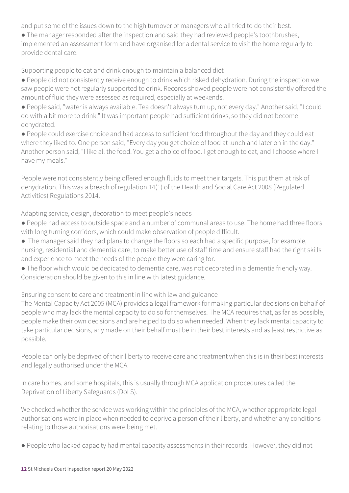and put some of the issues down to the high turnover of managers who all tried to do their best.

• The manager responded after the inspection and said they had reviewed people's toothbrushes, implemented an assessment form and have organised for a dental service to visit the home regularly to provide dental care.

Supporting people to eat and drink enough to maintain a balanced diet

- People did not consistently receive enough to drink which risked dehydration. During the inspection we saw people were not regularly supported to drink. Records showed people were not consistently offered the amount of fluid they were assessed as required, especially at weekends.
- People said, "water is always available. Tea doesn't always turn up, not every day." Another said, "I could do with a bit more to drink." It was important people had sufficient drinks, so they did not become dehydrated.
- People could exercise choice and had access to sufficient food throughout the day and they could eat where they liked to. One person said, "Every day you get choice of food at lunch and later on in the day." Another person said, "I like all the food. You get a choice of food. I get enough to eat, and I choose where I have my meals."

People were not consistently being offered enough fluids to meet their targets. This put them at risk of dehydration. This was a breach of regulation 14(1) of the Health and Social Care Act 2008 (Regulated Activities) Regulations 2014.

Adapting service, design, decoration to meet people's needs

- People had access to outside space and a number of communal areas to use. The home had three floors with long turning corridors, which could make observation of people difficult.
- The manager said they had plans to change the floors so each had a specific purpose, for example, nursing, residential and dementia care, to make better use of staff time and ensure staff had the right skills and experience to meet the needs of the people they were caring for.
- The floor which would be dedicated to dementia care, was not decorated in a dementia friendly way.
- Consideration should be given to this in line with latest guidance.

Ensuring consent to care and treatment in line with law and guidance

The Mental Capacity Act 2005 (MCA) provides a legal framework for making particular decisions on behalf of people who may lack the mental capacity to do so for themselves. The MCA requires that, as far as possible, people make their own decisions and are helped to do so when needed. When they lack mental capacity to take particular decisions, any made on their behalf must be in their best interests and as least restrictive as possible.

People can only be deprived of their liberty to receive care and treatment when this is in their best interests and legally authorised under the MCA.

In care homes, and some hospitals, this is usually through MCA application procedures called the Deprivation of Liberty Safeguards (DoLS).

We checked whether the service was working within the principles of the MCA, whether appropriate legal authorisations were in place when needed to deprive a person of their liberty, and whether any conditions relating to those authorisations were being met.

● People who lacked capacity had mental capacity assessments in their records. However, they did not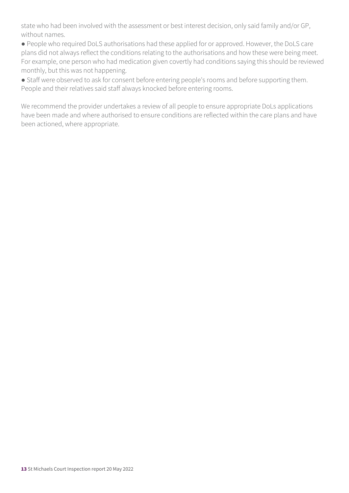state who had been involved with the assessment or best interest decision, only said family and/or GP, without names.

● People who required DoLS authorisations had these applied for or approved. However, the DoLS care plans did not always reflect the conditions relating to the authorisations and how these were being meet. For example, one person who had medication given covertly had conditions saying this should be reviewed monthly, but this was not happening.

● Staff were observed to ask for consent before entering people's rooms and before supporting them. People and their relatives said staff always knocked before entering rooms.

We recommend the provider undertakes a review of all people to ensure appropriate DoLs applications have been made and where authorised to ensure conditions are reflected within the care plans and have been actioned, where appropriate.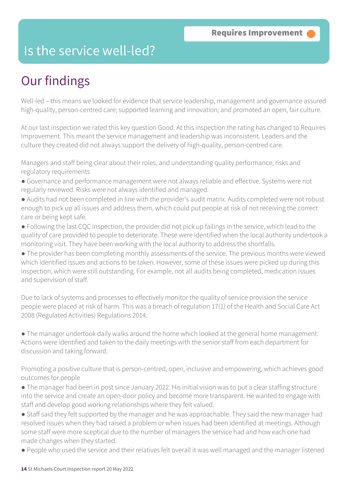### Is the service well-led?

## Our findings

Well-led – this means we looked for evidence that service leadership, management and governance assured high-quality, person-centred care; supported learning and innovation; and promoted an open, fair culture.

At our last inspection we rated this key question Good. At this inspection the rating has changed to Requires Improvement. This meant the service management and leadership was inconsistent. Leaders and the culture they created did not always support the delivery of high-quality, person-centred care.

Managers and staff being clear about their roles, and understanding quality performance, risks and regulatory requirements

- Governance and performance management were not always reliable and effective. Systems were not regularly reviewed. Risks were not always identified and managed.
- Audits had not been completed in line with the provider's audit matrix. Audits completed were not robust enough to pick up all issues and address them, which could put people at risk of not receiving the correct care or being kept safe.
- Following the last CQC inspection, the provider did not pick up failings in the service, which lead to the quality of care provided to people to deteriorate. These were identified when the local authority undertook a monitoring visit. They have been working with the local authority to address the shortfalls.

● The provider has been completing monthly assessments of the service. The previous months were viewed which identified issues and actions to be taken. However, some of these issues were picked up during this inspection, which were still outstanding. For example, not all audits being completed, medication issues and supervision of staff.

Due to lack of systems and processes to effectively monitor the quality of service provision the service people were placed at risk of harm. This was a breach of regulation 17(1) of the Health and Social Care Act 2008 (Regulated Activities) Regulations 2014.

● The manager undertook daily walks around the home which looked at the general home management. Actions were identified and taken to the daily meetings with the senior staff from each department for discussion and taking forward.

Promoting a positive culture that is person-centred, open, inclusive and empowering, which achieves good outcomes for people

● The manager had been in post since January 2022. His initial vision was to put a clear staffing structure into the service and create an open-door policy and become more transparent. He wanted to engage with staff and develop good working relationships where they felt valued.

● Staff said they felt supported by the manager and he was approachable. They said the new manager had resolved issues when they had raised a problem or when issues had been identified at meetings. Although some staff were more sceptical due to the number of managers the service had and how each one had made changes when they started.

● People who used the service and their relatives felt overall it was well managed and the manager listened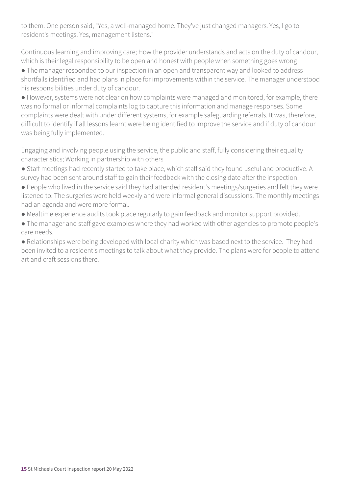to them. One person said, "Yes, a well-managed home. They've just changed managers. Yes, I go to resident's meetings. Yes, management listens."

Continuous learning and improving care; How the provider understands and acts on the duty of candour, which is their legal responsibility to be open and honest with people when something goes wrong

• The manager responded to our inspection in an open and transparent way and looked to address shortfalls identified and had plans in place for improvements within the service. The manager understood his responsibilities under duty of candour.

● However, systems were not clear on how complaints were managed and monitored, for example, there was no formal or informal complaints log to capture this information and manage responses. Some complaints were dealt with under different systems, for example safeguarding referrals. It was, therefore, difficult to identify if all lessons learnt were being identified to improve the service and if duty of candour was being fully implemented.

Engaging and involving people using the service, the public and staff, fully considering their equality characteristics; Working in partnership with others

- Staff meetings had recently started to take place, which staff said they found useful and productive. A survey had been sent around staff to gain their feedback with the closing date after the inspection.
- People who lived in the service said they had attended resident's meetings/surgeries and felt they were listened to. The surgeries were held weekly and were informal general discussions. The monthly meetings had an agenda and were more formal.
- Mealtime experience audits took place regularly to gain feedback and monitor support provided.
- The manager and staff gave examples where they had worked with other agencies to promote people's care needs.

● Relationships were being developed with local charity which was based next to the service. They had been invited to a resident's meetings to talk about what they provide. The plans were for people to attend art and craft sessions there.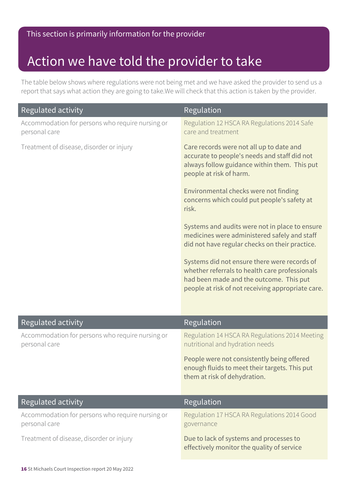### Action we have told the provider to take

The table below shows where regulations were not being met and we have asked the provider to send us a report that says what action they are going to take.We will check that this action is taken by the provider.

| Regulated activity                                                | Regulation                                                                                                                                                                                     |
|-------------------------------------------------------------------|------------------------------------------------------------------------------------------------------------------------------------------------------------------------------------------------|
| Accommodation for persons who require nursing or<br>personal care | Regulation 12 HSCA RA Regulations 2014 Safe<br>care and treatment                                                                                                                              |
| Treatment of disease, disorder or injury                          | Care records were not all up to date and<br>accurate to people's needs and staff did not<br>always follow guidance within them. This put<br>people at risk of harm.                            |
|                                                                   | Environmental checks were not finding<br>concerns which could put people's safety at<br>risk.                                                                                                  |
|                                                                   | Systems and audits were not in place to ensure<br>medicines were administered safely and staff<br>did not have regular checks on their practice.                                               |
|                                                                   | Systems did not ensure there were records of<br>whether referrals to health care professionals<br>had been made and the outcome. This put<br>people at risk of not receiving appropriate care. |
| Regulated activity                                                | Regulation                                                                                                                                                                                     |
| Accommodation for persons who require nursing or<br>personal care | Regulation 14 HSCA RA Regulations 2014 Meeting<br>nutritional and hydration needs                                                                                                              |
|                                                                   | People were not consistently being offered<br>enough fluids to meet their targets. This put<br>them at risk of dehydration.                                                                    |
| Regulated activity                                                | Regulation                                                                                                                                                                                     |
| Accommodation for persons who require nursing or<br>personal care | Regulation 17 HSCA RA Regulations 2014 Good<br>governance                                                                                                                                      |
| Treatment of disease, disorder or injury                          | Due to lack of systems and processes to<br>effectively monitor the quality of service                                                                                                          |